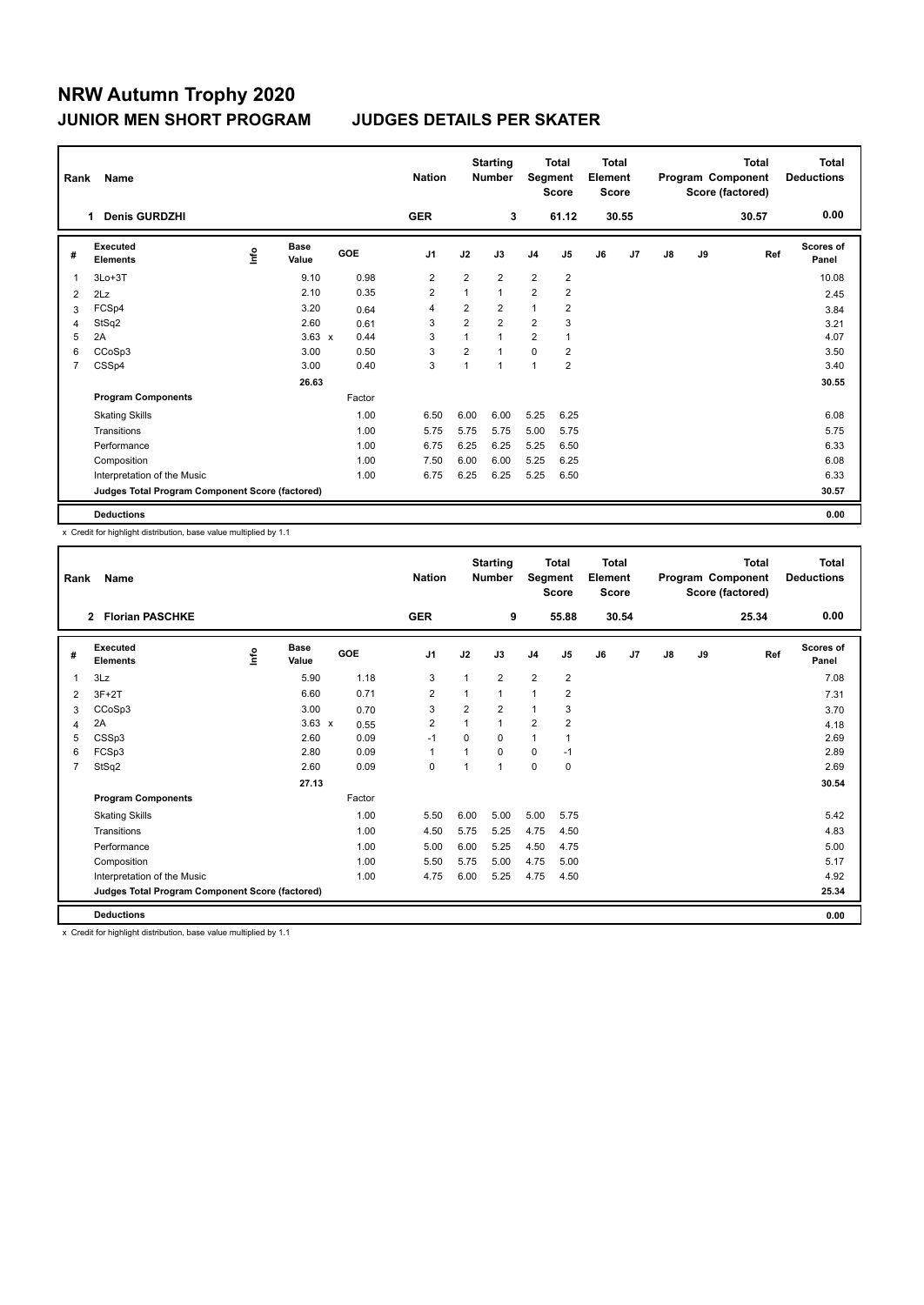| Rank           | Name                                            |      |                      |        | <b>Nation</b>  |              | <b>Starting</b><br><b>Number</b> | Segment        | Total<br><b>Score</b> | <b>Total</b><br>Element<br><b>Score</b> |                |    |    | <b>Total</b><br>Program Component<br>Score (factored) | <b>Total</b><br><b>Deductions</b> |
|----------------|-------------------------------------------------|------|----------------------|--------|----------------|--------------|----------------------------------|----------------|-----------------------|-----------------------------------------|----------------|----|----|-------------------------------------------------------|-----------------------------------|
|                | <b>Denis GURDZHI</b><br>1.                      |      |                      |        | <b>GER</b>     |              | 3                                |                | 61.12                 |                                         | 30.55          |    |    | 30.57                                                 | 0.00                              |
| #              | Executed<br><b>Elements</b>                     | lnfo | <b>Base</b><br>Value | GOE    | J <sub>1</sub> | J2           | J3                               | J <sub>4</sub> | J <sub>5</sub>        | J6                                      | J <sub>7</sub> | J8 | J9 | Ref                                                   | <b>Scores of</b><br>Panel         |
| 1              | $3Lo+3T$                                        |      | 9.10                 | 0.98   | 2              | 2            | $\overline{2}$                   | $\overline{2}$ | $\overline{2}$        |                                         |                |    |    |                                                       | 10.08                             |
| 2              | 2Lz                                             |      | 2.10                 | 0.35   | $\overline{2}$ | $\mathbf{1}$ | $\mathbf{1}$                     | $\overline{2}$ | $\overline{2}$        |                                         |                |    |    |                                                       | 2.45                              |
| 3              | FCSp4                                           |      | 3.20                 | 0.64   | 4              | 2            | $\overline{2}$                   | 1              | $\overline{2}$        |                                         |                |    |    |                                                       | 3.84                              |
| 4              | StSq2                                           |      | 2.60                 | 0.61   | 3              | 2            | $\overline{2}$                   | $\overline{2}$ | 3                     |                                         |                |    |    |                                                       | 3.21                              |
| 5              | 2A                                              |      | $3.63 \times$        | 0.44   | 3              |              | $\mathbf{1}$                     | $\overline{2}$ | 1                     |                                         |                |    |    |                                                       | 4.07                              |
| 6              | CCoSp3                                          |      | 3.00                 | 0.50   | 3              | 2            | $\mathbf{1}$                     | $\mathbf 0$    | $\overline{2}$        |                                         |                |    |    |                                                       | 3.50                              |
| $\overline{7}$ | CSSp4                                           |      | 3.00                 | 0.40   | 3              | 1            | $\mathbf{1}$                     | 1              | $\overline{2}$        |                                         |                |    |    |                                                       | 3.40                              |
|                |                                                 |      | 26.63                |        |                |              |                                  |                |                       |                                         |                |    |    |                                                       | 30.55                             |
|                | <b>Program Components</b>                       |      |                      | Factor |                |              |                                  |                |                       |                                         |                |    |    |                                                       |                                   |
|                | <b>Skating Skills</b>                           |      |                      | 1.00   | 6.50           | 6.00         | 6.00                             | 5.25           | 6.25                  |                                         |                |    |    |                                                       | 6.08                              |
|                | Transitions                                     |      |                      | 1.00   | 5.75           | 5.75         | 5.75                             | 5.00           | 5.75                  |                                         |                |    |    |                                                       | 5.75                              |
|                | Performance                                     |      |                      | 1.00   | 6.75           | 6.25         | 6.25                             | 5.25           | 6.50                  |                                         |                |    |    |                                                       | 6.33                              |
|                | Composition                                     |      |                      | 1.00   | 7.50           | 6.00         | 6.00                             | 5.25           | 6.25                  |                                         |                |    |    |                                                       | 6.08                              |
|                | Interpretation of the Music                     |      |                      | 1.00   | 6.75           | 6.25         | 6.25                             | 5.25           | 6.50                  |                                         |                |    |    |                                                       | 6.33                              |
|                | Judges Total Program Component Score (factored) |      |                      |        |                |              |                                  |                |                       |                                         |                |    |    |                                                       | 30.57                             |
|                | <b>Deductions</b>                               |      |                      |        |                |              |                                  |                |                       |                                         |                |    |    |                                                       | 0.00                              |

x Credit for highlight distribution, base value multiplied by 1.1

| Rank | Name                                            |            |                      |            | <b>Nation</b>  |          | <b>Starting</b><br><b>Number</b> | Segment        | <b>Total</b><br><b>Score</b> | <b>Total</b><br>Element<br><b>Score</b> |       |    |    | <b>Total</b><br>Program Component<br>Score (factored) | Total<br><b>Deductions</b> |
|------|-------------------------------------------------|------------|----------------------|------------|----------------|----------|----------------------------------|----------------|------------------------------|-----------------------------------------|-------|----|----|-------------------------------------------------------|----------------------------|
|      | <b>Florian PASCHKE</b><br>$\overline{2}$        |            |                      |            | <b>GER</b>     |          | 9                                |                | 55.88                        |                                         | 30.54 |    |    | 25.34                                                 | 0.00                       |
| #    | Executed<br><b>Elements</b>                     | <b>Lin</b> | <b>Base</b><br>Value | <b>GOE</b> | J <sub>1</sub> | J2       | J3                               | J4             | J5                           | J6                                      | J7    | J8 | J9 | Ref                                                   | <b>Scores of</b><br>Panel  |
| 1    | 3Lz                                             |            | 5.90                 | 1.18       | 3              | 1        | $\overline{2}$                   | $\overline{2}$ | 2                            |                                         |       |    |    |                                                       | 7.08                       |
| 2    | $3F+2T$                                         |            | 6.60                 | 0.71       | $\overline{2}$ | 1        | 1                                | $\mathbf{1}$   | $\overline{2}$               |                                         |       |    |    |                                                       | 7.31                       |
| 3    | CCoSp3                                          |            | 3.00                 | 0.70       | 3              | 2        | 2                                | $\mathbf{1}$   | 3                            |                                         |       |    |    |                                                       | 3.70                       |
| 4    | 2A                                              |            | $3.63 \times$        | 0.55       | $\overline{2}$ | 1        | 1                                | $\overline{2}$ | $\overline{2}$               |                                         |       |    |    |                                                       | 4.18                       |
| 5    | CSSp3                                           |            | 2.60                 | 0.09       | $-1$           | $\Omega$ | $\Omega$                         | $\mathbf{1}$   |                              |                                         |       |    |    |                                                       | 2.69                       |
| 6    | FCSp3                                           |            | 2.80                 | 0.09       | $\mathbf{1}$   | 1        | $\Omega$                         | $\Omega$       | $-1$                         |                                         |       |    |    |                                                       | 2.89                       |
| 7    | StSq2                                           |            | 2.60                 | 0.09       | $\mathbf 0$    | 1        | 1                                | $\mathbf 0$    | $\mathbf 0$                  |                                         |       |    |    |                                                       | 2.69                       |
|      |                                                 |            | 27.13                |            |                |          |                                  |                |                              |                                         |       |    |    |                                                       | 30.54                      |
|      | <b>Program Components</b>                       |            |                      | Factor     |                |          |                                  |                |                              |                                         |       |    |    |                                                       |                            |
|      | <b>Skating Skills</b>                           |            |                      | 1.00       | 5.50           | 6.00     | 5.00                             | 5.00           | 5.75                         |                                         |       |    |    |                                                       | 5.42                       |
|      | Transitions                                     |            |                      | 1.00       | 4.50           | 5.75     | 5.25                             | 4.75           | 4.50                         |                                         |       |    |    |                                                       | 4.83                       |
|      | Performance                                     |            |                      | 1.00       | 5.00           | 6.00     | 5.25                             | 4.50           | 4.75                         |                                         |       |    |    |                                                       | 5.00                       |
|      | Composition                                     |            |                      | 1.00       | 5.50           | 5.75     | 5.00                             | 4.75           | 5.00                         |                                         |       |    |    |                                                       | 5.17                       |
|      | Interpretation of the Music                     |            |                      | 1.00       | 4.75           | 6.00     | 5.25                             | 4.75           | 4.50                         |                                         |       |    |    |                                                       | 4.92                       |
|      | Judges Total Program Component Score (factored) |            |                      |            |                |          |                                  |                |                              |                                         |       |    |    |                                                       | 25.34                      |
|      | <b>Deductions</b>                               |            |                      |            |                |          |                                  |                |                              |                                         |       |    |    |                                                       | 0.00                       |

x Credit for highlight distribution, base value multiplied by 1.1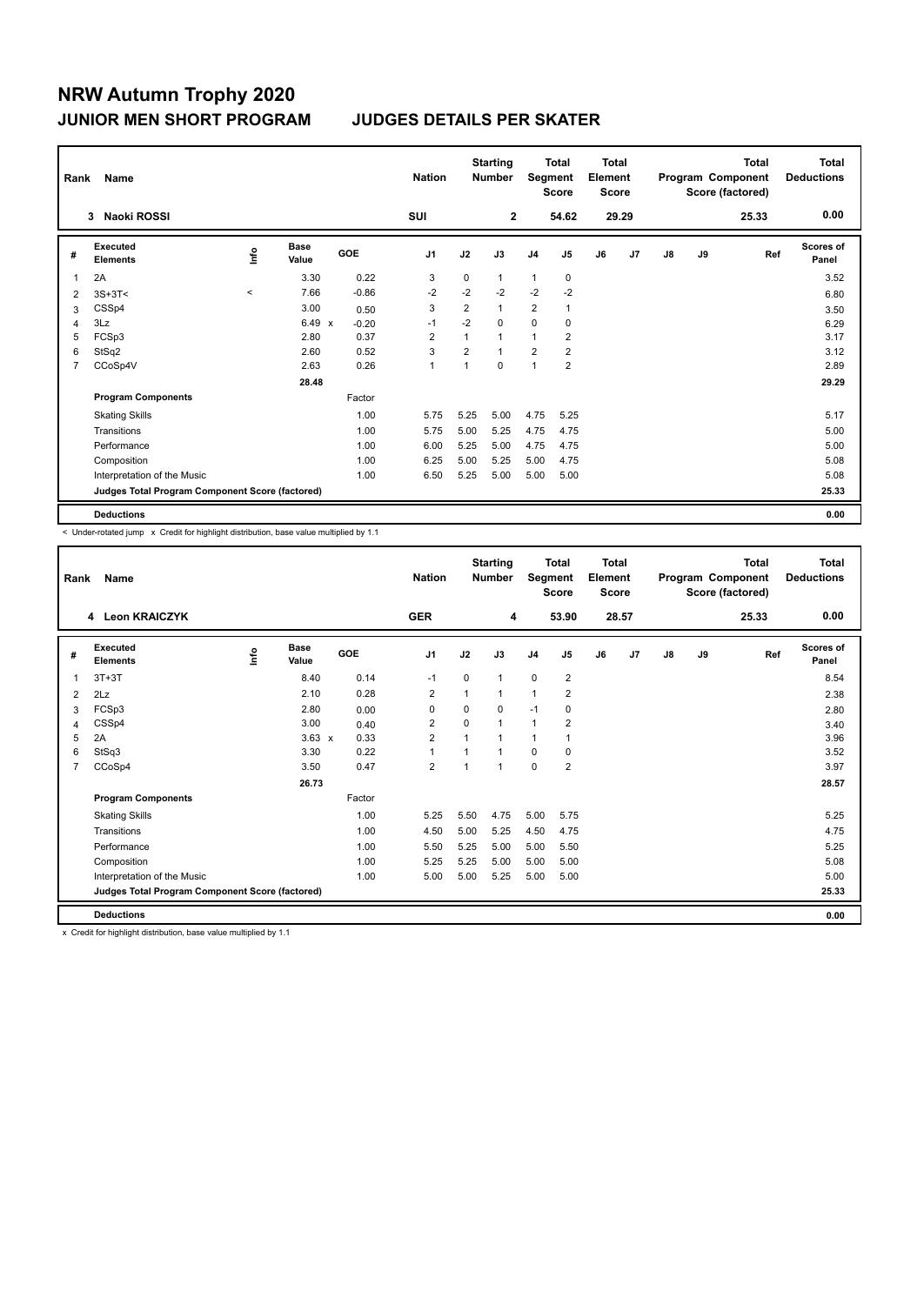| Rank           | Name                                            |         |                      |         | <b>Nation</b>  |                | <b>Starting</b><br><b>Number</b> | Segment        | <b>Total</b><br><b>Score</b> | <b>Total</b><br>Element<br><b>Score</b> |                |    |    | <b>Total</b><br>Program Component<br>Score (factored) | <b>Total</b><br><b>Deductions</b> |
|----------------|-------------------------------------------------|---------|----------------------|---------|----------------|----------------|----------------------------------|----------------|------------------------------|-----------------------------------------|----------------|----|----|-------------------------------------------------------|-----------------------------------|
|                | Naoki ROSSI<br>3                                |         |                      |         | SUI            |                | $\mathbf{2}$                     |                | 54.62                        |                                         | 29.29          |    |    | 25.33                                                 | 0.00                              |
| #              | Executed<br><b>Elements</b>                     | ١nf٥    | <b>Base</b><br>Value | GOE     | J <sub>1</sub> | J2             | J3                               | J <sub>4</sub> | J <sub>5</sub>               | J6                                      | J <sub>7</sub> | J8 | J9 | Ref                                                   | <b>Scores of</b><br>Panel         |
| 1              | 2A                                              |         | 3.30                 | 0.22    | 3              | 0              | 1                                | $\mathbf{1}$   | 0                            |                                         |                |    |    |                                                       | 3.52                              |
| 2              | $3S+3T<$                                        | $\prec$ | 7.66                 | $-0.86$ | $-2$           | $-2$           | $-2$                             | $-2$           | $-2$                         |                                         |                |    |    |                                                       | 6.80                              |
| 3              | CSSp4                                           |         | 3.00                 | 0.50    | 3              | $\overline{2}$ | 1                                | $\overline{2}$ | 1                            |                                         |                |    |    |                                                       | 3.50                              |
| 4              | 3Lz                                             |         | $6.49 \times$        | $-0.20$ | $-1$           | $-2$           | 0                                | $\mathbf 0$    | 0                            |                                         |                |    |    |                                                       | 6.29                              |
| 5              | FCSp3                                           |         | 2.80                 | 0.37    | $\overline{2}$ | 1              | 1                                | $\overline{1}$ | $\overline{2}$               |                                         |                |    |    |                                                       | 3.17                              |
| 6              | StSq2                                           |         | 2.60                 | 0.52    | 3              | $\overline{2}$ | 1                                | $\overline{2}$ | $\overline{2}$               |                                         |                |    |    |                                                       | 3.12                              |
| $\overline{7}$ | CCoSp4V                                         |         | 2.63                 | 0.26    | $\mathbf{1}$   | $\mathbf{1}$   | 0                                | $\overline{1}$ | $\overline{2}$               |                                         |                |    |    |                                                       | 2.89                              |
|                |                                                 |         | 28.48                |         |                |                |                                  |                |                              |                                         |                |    |    |                                                       | 29.29                             |
|                | <b>Program Components</b>                       |         |                      | Factor  |                |                |                                  |                |                              |                                         |                |    |    |                                                       |                                   |
|                | <b>Skating Skills</b>                           |         |                      | 1.00    | 5.75           | 5.25           | 5.00                             | 4.75           | 5.25                         |                                         |                |    |    |                                                       | 5.17                              |
|                | Transitions                                     |         |                      | 1.00    | 5.75           | 5.00           | 5.25                             | 4.75           | 4.75                         |                                         |                |    |    |                                                       | 5.00                              |
|                | Performance                                     |         |                      | 1.00    | 6.00           | 5.25           | 5.00                             | 4.75           | 4.75                         |                                         |                |    |    |                                                       | 5.00                              |
|                | Composition                                     |         |                      | 1.00    | 6.25           | 5.00           | 5.25                             | 5.00           | 4.75                         |                                         |                |    |    |                                                       | 5.08                              |
|                | Interpretation of the Music                     |         |                      | 1.00    | 6.50           | 5.25           | 5.00                             | 5.00           | 5.00                         |                                         |                |    |    |                                                       | 5.08                              |
|                | Judges Total Program Component Score (factored) |         |                      |         |                |                |                                  |                |                              |                                         |                |    |    |                                                       | 25.33                             |
|                | <b>Deductions</b>                               |         |                      |         |                |                |                                  |                |                              |                                         |                |    |    |                                                       | 0.00                              |

< Under-rotated jump x Credit for highlight distribution, base value multiplied by 1.1

| Rank           | Name                                            |      |               |        | <b>Nation</b>  |      | <b>Starting</b><br><b>Number</b> | Segment        | <b>Total</b><br><b>Score</b> | Total<br>Element<br><b>Score</b> |                |    |    | <b>Total</b><br>Program Component<br>Score (factored) | <b>Total</b><br><b>Deductions</b> |
|----------------|-------------------------------------------------|------|---------------|--------|----------------|------|----------------------------------|----------------|------------------------------|----------------------------------|----------------|----|----|-------------------------------------------------------|-----------------------------------|
|                | <b>Leon KRAICZYK</b><br>4                       |      |               |        | <b>GER</b>     |      | 4                                |                | 53.90                        |                                  | 28.57          |    |    | 25.33                                                 | 0.00                              |
| #              | Executed<br><b>Elements</b>                     | ١nfo | Base<br>Value | GOE    | J <sub>1</sub> | J2   | J3                               | J <sub>4</sub> | J5                           | J6                               | J <sub>7</sub> | J8 | J9 | Ref                                                   | Scores of<br>Panel                |
| 1              | $3T+3T$                                         |      | 8.40          | 0.14   | $-1$           | 0    | $\overline{1}$                   | $\mathbf 0$    | $\overline{2}$               |                                  |                |    |    |                                                       | 8.54                              |
| $\overline{2}$ | 2Lz                                             |      | 2.10          | 0.28   | $\overline{2}$ | 1    | $\mathbf{1}$                     | $\mathbf{1}$   | $\overline{2}$               |                                  |                |    |    |                                                       | 2.38                              |
| 3              | FCSp3                                           |      | 2.80          | 0.00   | 0              | 0    | 0                                | $-1$           | 0                            |                                  |                |    |    |                                                       | 2.80                              |
| 4              | CSSp4                                           |      | 3.00          | 0.40   | 2              | 0    | $\mathbf 1$                      | $\mathbf{1}$   | $\overline{2}$               |                                  |                |    |    |                                                       | 3.40                              |
| 5              | 2A                                              |      | $3.63 \times$ | 0.33   | $\overline{2}$ | 1    |                                  | $\mathbf{1}$   |                              |                                  |                |    |    |                                                       | 3.96                              |
| 6              | StSq3                                           |      | 3.30          | 0.22   | 1              | 1    |                                  | $\Omega$       | 0                            |                                  |                |    |    |                                                       | 3.52                              |
| 7              | CCoSp4                                          |      | 3.50          | 0.47   | $\overline{2}$ | 1    | 1                                | $\mathbf 0$    | $\overline{2}$               |                                  |                |    |    |                                                       | 3.97                              |
|                |                                                 |      | 26.73         |        |                |      |                                  |                |                              |                                  |                |    |    |                                                       | 28.57                             |
|                | <b>Program Components</b>                       |      |               | Factor |                |      |                                  |                |                              |                                  |                |    |    |                                                       |                                   |
|                | <b>Skating Skills</b>                           |      |               | 1.00   | 5.25           | 5.50 | 4.75                             | 5.00           | 5.75                         |                                  |                |    |    |                                                       | 5.25                              |
|                | Transitions                                     |      |               | 1.00   | 4.50           | 5.00 | 5.25                             | 4.50           | 4.75                         |                                  |                |    |    |                                                       | 4.75                              |
|                | Performance                                     |      |               | 1.00   | 5.50           | 5.25 | 5.00                             | 5.00           | 5.50                         |                                  |                |    |    |                                                       | 5.25                              |
|                | Composition                                     |      |               | 1.00   | 5.25           | 5.25 | 5.00                             | 5.00           | 5.00                         |                                  |                |    |    |                                                       | 5.08                              |
|                | Interpretation of the Music                     |      |               | 1.00   | 5.00           | 5.00 | 5.25                             | 5.00           | 5.00                         |                                  |                |    |    |                                                       | 5.00                              |
|                | Judges Total Program Component Score (factored) |      |               |        |                |      |                                  |                |                              |                                  |                |    |    |                                                       | 25.33                             |
|                | <b>Deductions</b>                               |      |               |        |                |      |                                  |                |                              |                                  |                |    |    |                                                       | 0.00                              |

x Credit for highlight distribution, base value multiplied by 1.1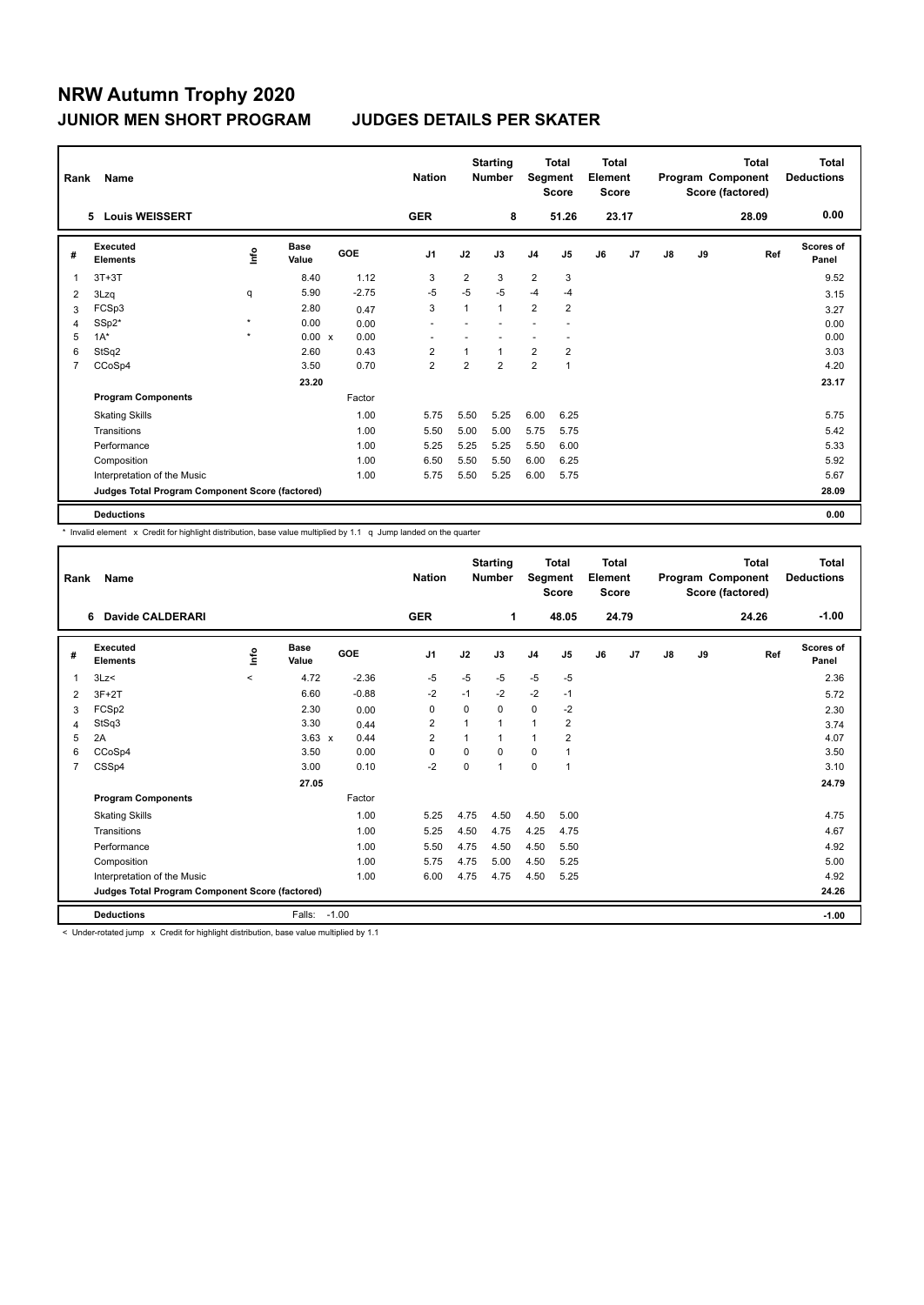| Rank           | Name                                            |                         |                      |            | <b>Nation</b>  |                | <b>Starting</b><br><b>Number</b> | Segment        | <b>Total</b><br><b>Score</b> | <b>Total</b><br>Element<br><b>Score</b> |                |               |    | <b>Total</b><br>Program Component<br>Score (factored) | <b>Total</b><br><b>Deductions</b> |
|----------------|-------------------------------------------------|-------------------------|----------------------|------------|----------------|----------------|----------------------------------|----------------|------------------------------|-----------------------------------------|----------------|---------------|----|-------------------------------------------------------|-----------------------------------|
|                | 5 Louis WEISSERT                                |                         |                      |            | <b>GER</b>     |                | 8                                |                | 51.26                        |                                         | 23.17          |               |    | 28.09                                                 | 0.00                              |
| #              | Executed<br><b>Elements</b>                     | $\mathsf{f}^\mathsf{o}$ | <b>Base</b><br>Value | <b>GOE</b> | J <sub>1</sub> | J2             | J3                               | J <sub>4</sub> | J5                           | J6                                      | J <sub>7</sub> | $\mathsf{J}8$ | J9 | Ref                                                   | Scores of<br>Panel                |
| 1              | $3T+3T$                                         |                         | 8.40                 | 1.12       | 3              | $\overline{2}$ | 3                                | 2              | 3                            |                                         |                |               |    |                                                       | 9.52                              |
| 2              | 3Lzq                                            | q                       | 5.90                 | $-2.75$    | $-5$           | $-5$           | $-5$                             | $-4$           | $-4$                         |                                         |                |               |    |                                                       | 3.15                              |
| 3              | FCSp3                                           |                         | 2.80                 | 0.47       | 3              | 1              | $\mathbf{1}$                     | $\overline{2}$ | $\overline{2}$               |                                         |                |               |    |                                                       | 3.27                              |
| 4              | SSp2*                                           | $\star$                 | 0.00                 | 0.00       |                |                |                                  |                |                              |                                         |                |               |    |                                                       | 0.00                              |
| 5              | $1A^*$                                          | $\pmb{\ast}$            | 0.00 x               | 0.00       |                |                |                                  |                |                              |                                         |                |               |    |                                                       | 0.00                              |
| 6              | StSq2                                           |                         | 2.60                 | 0.43       | $\overline{2}$ |                | $\mathbf{1}$                     | 2              | $\overline{2}$               |                                         |                |               |    |                                                       | 3.03                              |
| $\overline{7}$ | CCoSp4                                          |                         | 3.50                 | 0.70       | $\overline{2}$ | 2              | $\overline{2}$                   | $\overline{2}$ | $\mathbf{1}$                 |                                         |                |               |    |                                                       | 4.20                              |
|                |                                                 |                         | 23.20                |            |                |                |                                  |                |                              |                                         |                |               |    |                                                       | 23.17                             |
|                | <b>Program Components</b>                       |                         |                      | Factor     |                |                |                                  |                |                              |                                         |                |               |    |                                                       |                                   |
|                | <b>Skating Skills</b>                           |                         |                      | 1.00       | 5.75           | 5.50           | 5.25                             | 6.00           | 6.25                         |                                         |                |               |    |                                                       | 5.75                              |
|                | Transitions                                     |                         |                      | 1.00       | 5.50           | 5.00           | 5.00                             | 5.75           | 5.75                         |                                         |                |               |    |                                                       | 5.42                              |
|                | Performance                                     |                         |                      | 1.00       | 5.25           | 5.25           | 5.25                             | 5.50           | 6.00                         |                                         |                |               |    |                                                       | 5.33                              |
|                | Composition                                     |                         |                      | 1.00       | 6.50           | 5.50           | 5.50                             | 6.00           | 6.25                         |                                         |                |               |    |                                                       | 5.92                              |
|                | Interpretation of the Music                     |                         |                      | 1.00       | 5.75           | 5.50           | 5.25                             | 6.00           | 5.75                         |                                         |                |               |    |                                                       | 5.67                              |
|                | Judges Total Program Component Score (factored) |                         |                      |            |                |                |                                  |                |                              |                                         |                |               |    |                                                       | 28.09                             |
|                | <b>Deductions</b>                               |                         |                      |            |                |                |                                  |                |                              |                                         |                |               |    |                                                       | 0.00                              |

\* Invalid element x Credit for highlight distribution, base value multiplied by 1.1 q Jump landed on the quarter

| Rank | Name                                            |             |                      |         | <b>Nation</b>  |                | <b>Starting</b><br><b>Number</b> | Segment        | <b>Total</b><br><b>Score</b> | Total<br>Element<br><b>Score</b> |       |    |    | <b>Total</b><br>Program Component<br>Score (factored) | <b>Total</b><br><b>Deductions</b> |
|------|-------------------------------------------------|-------------|----------------------|---------|----------------|----------------|----------------------------------|----------------|------------------------------|----------------------------------|-------|----|----|-------------------------------------------------------|-----------------------------------|
|      | <b>Davide CALDERARI</b><br>6                    |             |                      |         | <b>GER</b>     |                | 1                                |                | 48.05                        |                                  | 24.79 |    |    | 24.26                                                 | $-1.00$                           |
| #    | Executed<br><b>Elements</b>                     | <u>info</u> | <b>Base</b><br>Value | GOE     | J <sub>1</sub> | J2             | J3                               | J <sub>4</sub> | J5                           | J6                               | J7    | J8 | J9 | Ref                                                   | <b>Scores of</b><br>Panel         |
| 1    | 3Lz                                             | $\prec$     | 4.72                 | $-2.36$ | $-5$           | $-5$           | $-5$                             | $-5$           | $-5$                         |                                  |       |    |    |                                                       | 2.36                              |
| 2    | $3F+2T$                                         |             | 6.60                 | $-0.88$ | $-2$           | $-1$           | $-2$                             | $-2$           | $-1$                         |                                  |       |    |    |                                                       | 5.72                              |
| 3    | FCSp2                                           |             | 2.30                 | 0.00    | 0              | $\Omega$       | 0                                | $\mathbf 0$    | $-2$                         |                                  |       |    |    |                                                       | 2.30                              |
| 4    | StSq3                                           |             | 3.30                 | 0.44    | 2              | 1              | 1                                | $\overline{1}$ | 2                            |                                  |       |    |    |                                                       | 3.74                              |
| 5    | 2A                                              |             | $3.63 \times$        | 0.44    | $\overline{2}$ | $\overline{1}$ | 1                                | $\overline{1}$ | $\overline{2}$               |                                  |       |    |    |                                                       | 4.07                              |
| 6    | CCoSp4                                          |             | 3.50                 | 0.00    | $\Omega$       | $\Omega$       | 0                                | 0              |                              |                                  |       |    |    |                                                       | 3.50                              |
| 7    | CSSp4                                           |             | 3.00                 | 0.10    | $-2$           | $\mathbf 0$    | $\mathbf{1}$                     | $\mathbf 0$    | 1                            |                                  |       |    |    |                                                       | 3.10                              |
|      |                                                 |             | 27.05                |         |                |                |                                  |                |                              |                                  |       |    |    |                                                       | 24.79                             |
|      | <b>Program Components</b>                       |             |                      | Factor  |                |                |                                  |                |                              |                                  |       |    |    |                                                       |                                   |
|      | <b>Skating Skills</b>                           |             |                      | 1.00    | 5.25           | 4.75           | 4.50                             | 4.50           | 5.00                         |                                  |       |    |    |                                                       | 4.75                              |
|      | Transitions                                     |             |                      | 1.00    | 5.25           | 4.50           | 4.75                             | 4.25           | 4.75                         |                                  |       |    |    |                                                       | 4.67                              |
|      | Performance                                     |             |                      | 1.00    | 5.50           | 4.75           | 4.50                             | 4.50           | 5.50                         |                                  |       |    |    |                                                       | 4.92                              |
|      | Composition                                     |             |                      | 1.00    | 5.75           | 4.75           | 5.00                             | 4.50           | 5.25                         |                                  |       |    |    |                                                       | 5.00                              |
|      | Interpretation of the Music                     |             |                      | 1.00    | 6.00           | 4.75           | 4.75                             | 4.50           | 5.25                         |                                  |       |    |    |                                                       | 4.92                              |
|      | Judges Total Program Component Score (factored) |             |                      |         |                |                |                                  |                |                              |                                  |       |    |    |                                                       | 24.26                             |
|      | <b>Deductions</b>                               |             | Falls:               | $-1.00$ |                |                |                                  |                |                              |                                  |       |    |    |                                                       | $-1.00$                           |

< Under-rotated jump x Credit for highlight distribution, base value multiplied by 1.1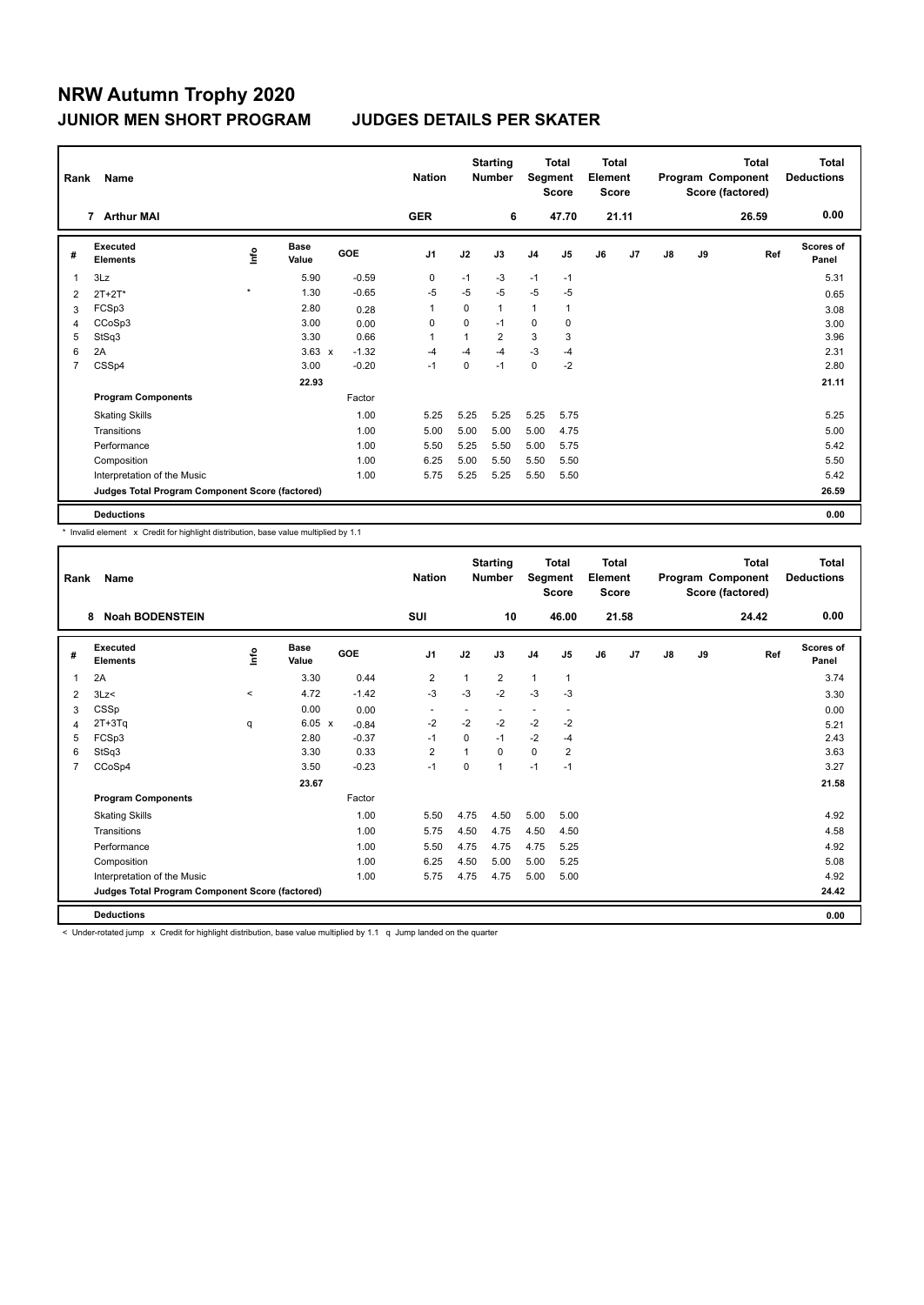| Rank           | Name                                            |         |                      |         | <b>Nation</b>  |              | <b>Starting</b><br><b>Number</b> | Segment        | <b>Total</b><br><b>Score</b> | <b>Total</b><br>Element<br><b>Score</b> |       |    |    | <b>Total</b><br>Program Component<br>Score (factored) | <b>Total</b><br><b>Deductions</b> |
|----------------|-------------------------------------------------|---------|----------------------|---------|----------------|--------------|----------------------------------|----------------|------------------------------|-----------------------------------------|-------|----|----|-------------------------------------------------------|-----------------------------------|
|                | 7 Arthur MAI                                    |         |                      |         | <b>GER</b>     |              | 6                                |                | 47.70                        |                                         | 21.11 |    |    | 26.59                                                 | 0.00                              |
| #              | <b>Executed</b><br><b>Elements</b>              | lnfo    | <b>Base</b><br>Value | GOE     | J <sub>1</sub> | J2           | J3                               | J <sub>4</sub> | J5                           | J6                                      | J7    | J8 | J9 | Ref                                                   | <b>Scores of</b><br>Panel         |
| 1              | 3Lz                                             |         | 5.90                 | $-0.59$ | 0              | $-1$         | $-3$                             | $-1$           | $-1$                         |                                         |       |    |    |                                                       | 5.31                              |
| 2              | $2T + 2T^*$                                     | $\star$ | 1.30                 | $-0.65$ | $-5$           | $-5$         | $-5$                             | $-5$           | $-5$                         |                                         |       |    |    |                                                       | 0.65                              |
| 3              | FCSp3                                           |         | 2.80                 | 0.28    | 1              | 0            | 1                                | 1              | $\mathbf{1}$                 |                                         |       |    |    |                                                       | 3.08                              |
| 4              | CCoSp3                                          |         | 3.00                 | 0.00    | 0              | 0            | $-1$                             | 0              | 0                            |                                         |       |    |    |                                                       | 3.00                              |
| 5              | StSq3                                           |         | 3.30                 | 0.66    | 1              | $\mathbf{1}$ | $\overline{2}$                   | 3              | 3                            |                                         |       |    |    |                                                       | 3.96                              |
| 6              | 2A                                              |         | $3.63 \times$        | $-1.32$ | $-4$           | $-4$         | $-4$                             | $-3$           | $-4$                         |                                         |       |    |    |                                                       | 2.31                              |
| $\overline{7}$ | CSSp4                                           |         | 3.00                 | $-0.20$ | $-1$           | $\mathbf 0$  | $-1$                             | 0              | $-2$                         |                                         |       |    |    |                                                       | 2.80                              |
|                |                                                 |         | 22.93                |         |                |              |                                  |                |                              |                                         |       |    |    |                                                       | 21.11                             |
|                | <b>Program Components</b>                       |         |                      | Factor  |                |              |                                  |                |                              |                                         |       |    |    |                                                       |                                   |
|                | <b>Skating Skills</b>                           |         |                      | 1.00    | 5.25           | 5.25         | 5.25                             | 5.25           | 5.75                         |                                         |       |    |    |                                                       | 5.25                              |
|                | Transitions                                     |         |                      | 1.00    | 5.00           | 5.00         | 5.00                             | 5.00           | 4.75                         |                                         |       |    |    |                                                       | 5.00                              |
|                | Performance                                     |         |                      | 1.00    | 5.50           | 5.25         | 5.50                             | 5.00           | 5.75                         |                                         |       |    |    |                                                       | 5.42                              |
|                | Composition                                     |         |                      | 1.00    | 6.25           | 5.00         | 5.50                             | 5.50           | 5.50                         |                                         |       |    |    |                                                       | 5.50                              |
|                | Interpretation of the Music                     |         |                      | 1.00    | 5.75           | 5.25         | 5.25                             | 5.50           | 5.50                         |                                         |       |    |    |                                                       | 5.42                              |
|                | Judges Total Program Component Score (factored) |         |                      |         |                |              |                                  |                |                              |                                         |       |    |    |                                                       | 26.59                             |
|                | <b>Deductions</b>                               |         |                      |         |                |              |                                  |                |                              |                                         |       |    |    |                                                       | 0.00                              |

\* Invalid element x Credit for highlight distribution, base value multiplied by 1.1

| Rank | Name                                            |         |                      |         | <b>Nation</b>            |                | <b>Starting</b><br><b>Number</b> | Segment                  | <b>Total</b><br><b>Score</b> | <b>Total</b><br>Element<br><b>Score</b> |       |               |    | <b>Total</b><br>Program Component<br>Score (factored) | <b>Total</b><br><b>Deductions</b> |
|------|-------------------------------------------------|---------|----------------------|---------|--------------------------|----------------|----------------------------------|--------------------------|------------------------------|-----------------------------------------|-------|---------------|----|-------------------------------------------------------|-----------------------------------|
|      | <b>Noah BODENSTEIN</b><br>8                     |         |                      |         | <b>SUI</b>               |                | 10                               |                          | 46.00                        |                                         | 21.58 |               |    | 24.42                                                 | 0.00                              |
| #    | Executed<br><b>Elements</b>                     | ۴٥      | <b>Base</b><br>Value | GOE     | J <sub>1</sub>           | J2             | J3                               | J <sub>4</sub>           | J <sub>5</sub>               | J6                                      | J7    | $\mathsf{J}8$ | J9 | Ref                                                   | Scores of<br>Panel                |
| 1    | 2A                                              |         | 3.30                 | 0.44    | $\overline{2}$           | $\mathbf{1}$   | $\overline{2}$                   | $\mathbf{1}$             | $\mathbf{1}$                 |                                         |       |               |    |                                                       | 3.74                              |
| 2    | 3Lz                                             | $\,<\,$ | 4.72                 | $-1.42$ | $-3$                     | $-3$           | $-2$                             | $-3$                     | $-3$                         |                                         |       |               |    |                                                       | 3.30                              |
| 3    | CSSp                                            |         | 0.00                 | 0.00    | $\overline{\phantom{a}}$ |                | $\overline{\phantom{a}}$         | $\overline{\phantom{0}}$ |                              |                                         |       |               |    |                                                       | 0.00                              |
| 4    | $2T+3Tq$                                        | q       | $6.05 \times$        | $-0.84$ | $-2$                     | $-2$           | $-2$                             | $-2$                     | $-2$                         |                                         |       |               |    |                                                       | 5.21                              |
| 5    | FCSp3                                           |         | 2.80                 | $-0.37$ | $-1$                     | $\Omega$       | $-1$                             | $-2$                     | $-4$                         |                                         |       |               |    |                                                       | 2.43                              |
| 6    | StSq3                                           |         | 3.30                 | 0.33    | $\overline{2}$           | $\overline{1}$ | $\Omega$                         | $\mathbf 0$              | $\overline{2}$               |                                         |       |               |    |                                                       | 3.63                              |
| 7    | CCoSp4                                          |         | 3.50                 | $-0.23$ | $-1$                     | $\Omega$       | $\mathbf{1}$                     | $-1$                     | $-1$                         |                                         |       |               |    |                                                       | 3.27                              |
|      |                                                 |         | 23.67                |         |                          |                |                                  |                          |                              |                                         |       |               |    |                                                       | 21.58                             |
|      | <b>Program Components</b>                       |         |                      | Factor  |                          |                |                                  |                          |                              |                                         |       |               |    |                                                       |                                   |
|      | <b>Skating Skills</b>                           |         |                      | 1.00    | 5.50                     | 4.75           | 4.50                             | 5.00                     | 5.00                         |                                         |       |               |    |                                                       | 4.92                              |
|      | Transitions                                     |         |                      | 1.00    | 5.75                     | 4.50           | 4.75                             | 4.50                     | 4.50                         |                                         |       |               |    |                                                       | 4.58                              |
|      | Performance                                     |         |                      | 1.00    | 5.50                     | 4.75           | 4.75                             | 4.75                     | 5.25                         |                                         |       |               |    |                                                       | 4.92                              |
|      | Composition                                     |         |                      | 1.00    | 6.25                     | 4.50           | 5.00                             | 5.00                     | 5.25                         |                                         |       |               |    |                                                       | 5.08                              |
|      | Interpretation of the Music                     |         |                      | 1.00    | 5.75                     | 4.75           | 4.75                             | 5.00                     | 5.00                         |                                         |       |               |    |                                                       | 4.92                              |
|      | Judges Total Program Component Score (factored) |         |                      |         |                          |                |                                  |                          |                              |                                         |       |               |    |                                                       | 24.42                             |
|      | <b>Deductions</b>                               |         |                      |         |                          |                |                                  |                          |                              |                                         |       |               |    |                                                       | 0.00                              |

< Under-rotated jump x Credit for highlight distribution, base value multiplied by 1.1 q Jump landed on the quarter